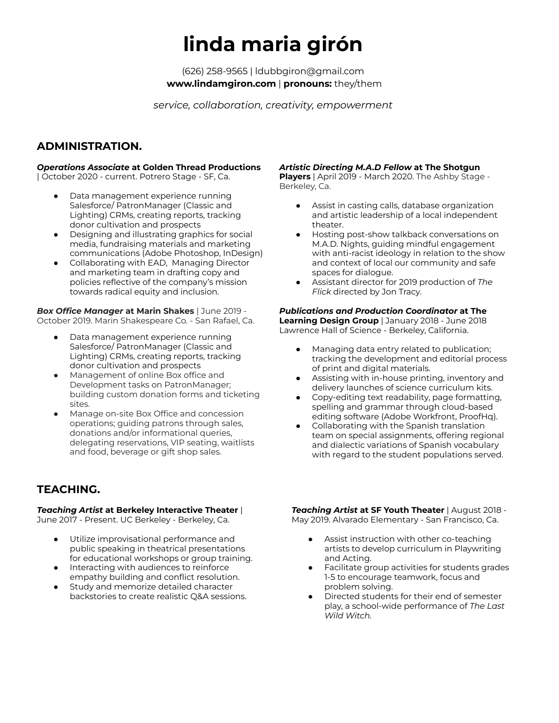# **linda maria girón**

(626) 258-9565 | ldubbgiron@gmail.com **www.lindamgiron.com** | **pronouns:** they/them

*service, collaboration, creativity, empowerment*

## **ADMINISTRATION.**

#### *Operations Associate* **at Golden Thread Productions**

| October 2020 - current. Potrero Stage - SF, Ca.

- Data management experience running Salesforce/ PatronManager (Classic and Lighting) CRMs, creating reports, tracking donor cultivation and prospects
- Designing and illustrating graphics for social media, fundraising materials and marketing communications (Adobe Photoshop, InDesign)
- Collaborating with EAD, Managing Director and marketing team in drafting copy and policies reflective of the company's mission towards radical equity and inclusion.

*Box Office Manager* **at Marin Shakes** | June 2019 - October 2019. Marin Shakespeare Co. - San Rafael, Ca.

- Data management experience running Salesforce/ PatronManager (Classic and Lighting) CRMs, creating reports, tracking donor cultivation and prospects
- Management of online Box office and Development tasks on PatronManager; building custom donation forms and ticketing sites.
- Manage on-site Box Office and concession operations; guiding patrons through sales, donations and/or informational queries, delegating reservations, VIP seating, waitlists and food, beverage or gift shop sales.

# **TEACHING.**

#### *Teaching Artist* **at Berkeley Interactive Theater** |

June 2017 - Present. UC Berkeley - Berkeley, Ca.

- Utilize improvisational performance and public speaking in theatrical presentations for educational workshops or group training.
- Interacting with audiences to reinforce empathy building and conflict resolution.
- Study and memorize detailed character backstories to create realistic Q&A sessions.

#### *Artistic Directing M.A.D Fellow* **at The Shotgun**

**Players** | April 2019 - March 2020. The Ashby Stage - Berkeley, Ca.

- Assist in casting calls, database organization and artistic leadership of a local independent theater.
- Hosting post-show talkback conversations on M.A.D. Nights, guiding mindful engagement with anti-racist ideology in relation to the show and context of local our community and safe spaces for dialogue.
- Assistant director for 2019 production of The *Flick* directed by Jon Tracy.

#### *Publications and Production Coordinator* **at The Learning Design Group** | January 2018 - June 2018 Lawrence Hall of Science - Berkeley, California.

- Managing data entry related to publication; tracking the development and editorial process of print and digital materials.
- Assisting with in-house printing, inventory and delivery launches of science curriculum kits.
- Copy-editing text readability, page formatting, spelling and grammar through cloud-based editing software (Adobe Workfront, ProofHq).
- Collaborating with the Spanish translation team on special assignments, offering regional and dialectic variations of Spanish vocabulary with regard to the student populations served.

*Teaching Artist* **at SF Youth Theater** | August 2018 - May 2019. Alvarado Elementary - San Francisco, Ca.

- Assist instruction with other co-teaching artists to develop curriculum in Playwriting and Acting.
- Facilitate group activities for students grades 1-5 to encourage teamwork, focus and problem solving.
- Directed students for their end of semester play, a school-wide performance of *The Last Wild Witch.*